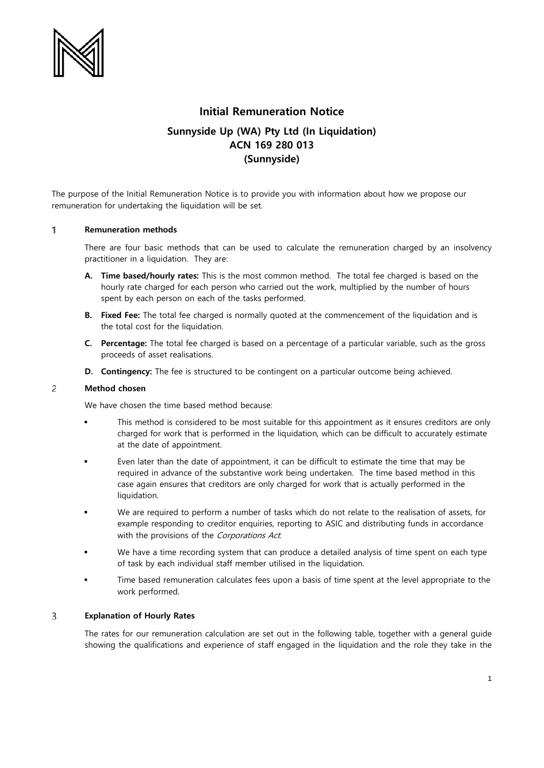

# **Initial Remuneration Notice**

# **Sunnyside Up (WA) Pty Ltd (In Liquidation) ACN 169 280 013 (Sunnyside)**

The purpose of the Initial Remuneration Notice is to provide you with information about how we propose our remuneration for undertaking the liquidation will be set.

## $\mathbf{1}$ **Remuneration methods**

There are four basic methods that can be used to calculate the remuneration charged by an insolvency practitioner in a liquidation. They are:

- **A. Time based/hourly rates:** This is the most common method. The total fee charged is based on the hourly rate charged for each person who carried out the work, multiplied by the number of hours spent by each person on each of the tasks performed.
- **B. Fixed Fee:** The total fee charged is normally quoted at the commencement of the liquidation and is the total cost for the liquidation.
- **C. Percentage:** The total fee charged is based on a percentage of a particular variable, such as the gross proceeds of asset realisations.
- **D. Contingency:** The fee is structured to be contingent on a particular outcome being achieved.

### $\overline{c}$ **Method chosen**

We have chosen the time based method because:

- This method is considered to be most suitable for this appointment as it ensures creditors are only charged for work that is performed in the liquidation, which can be difficult to accurately estimate at the date of appointment.
- Even later than the date of appointment, it can be difficult to estimate the time that may be required in advance of the substantive work being undertaken. The time based method in this case again ensures that creditors are only charged for work that is actually performed in the liquidation.
- We are required to perform a number of tasks which do not relate to the realisation of assets, for example responding to creditor enquiries, reporting to ASIC and distributing funds in accordance with the provisions of the Corporations Act.
- We have a time recording system that can produce a detailed analysis of time spent on each type of task by each individual staff member utilised in the liquidation.
- Time based remuneration calculates fees upon a basis of time spent at the level appropriate to the work performed.

## $\overline{3}$ **Explanation of Hourly Rates**

The rates for our remuneration calculation are set out in the following table, together with a general guide showing the qualifications and experience of staff engaged in the liquidation and the role they take in the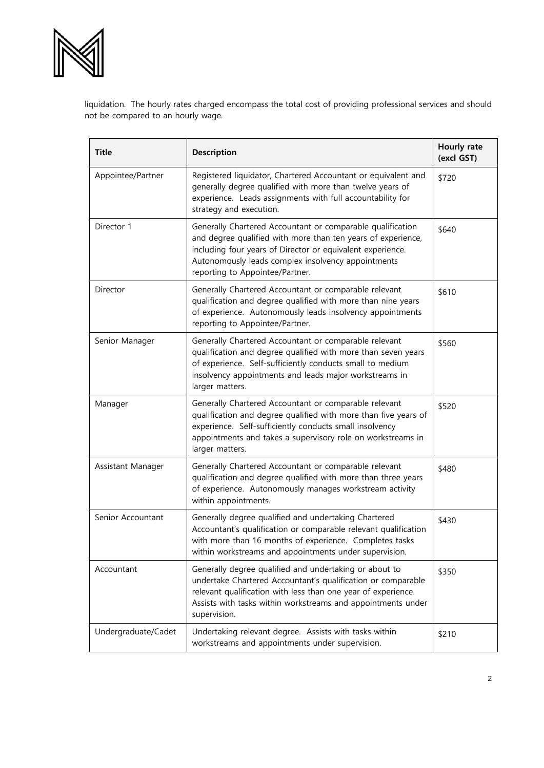

liquidation. The hourly rates charged encompass the total cost of providing professional services and should not be compared to an hourly wage.

| <b>Title</b>        | Description                                                                                                                                                                                                                                                                       | Hourly rate<br>(excl GST) |
|---------------------|-----------------------------------------------------------------------------------------------------------------------------------------------------------------------------------------------------------------------------------------------------------------------------------|---------------------------|
| Appointee/Partner   | Registered liquidator, Chartered Accountant or equivalent and<br>generally degree qualified with more than twelve years of<br>experience. Leads assignments with full accountability for<br>strategy and execution.                                                               | \$720                     |
| Director 1          | Generally Chartered Accountant or comparable qualification<br>and degree qualified with more than ten years of experience,<br>including four years of Director or equivalent experience.<br>Autonomously leads complex insolvency appointments<br>reporting to Appointee/Partner. | \$640                     |
| Director            | Generally Chartered Accountant or comparable relevant<br>qualification and degree qualified with more than nine years<br>of experience. Autonomously leads insolvency appointments<br>reporting to Appointee/Partner.                                                             | \$610                     |
| Senior Manager      | Generally Chartered Accountant or comparable relevant<br>qualification and degree qualified with more than seven years<br>of experience. Self-sufficiently conducts small to medium<br>insolvency appointments and leads major workstreams in<br>larger matters.                  | \$560                     |
| Manager             | Generally Chartered Accountant or comparable relevant<br>qualification and degree qualified with more than five years of<br>experience. Self-sufficiently conducts small insolvency<br>appointments and takes a supervisory role on workstreams in<br>larger matters.             | \$520                     |
| Assistant Manager   | Generally Chartered Accountant or comparable relevant<br>qualification and degree qualified with more than three years<br>of experience. Autonomously manages workstream activity<br>within appointments.                                                                         | \$480                     |
| Senior Accountant   | Generally degree qualified and undertaking Chartered<br>Accountant's qualification or comparable relevant qualification<br>with more than 16 months of experience. Completes tasks<br>within workstreams and appointments under supervision.                                      | \$430                     |
| Accountant          | Generally degree qualified and undertaking or about to<br>undertake Chartered Accountant's qualification or comparable<br>relevant qualification with less than one year of experience.<br>Assists with tasks within workstreams and appointments under<br>supervision.           | \$350                     |
| Undergraduate/Cadet | Undertaking relevant degree. Assists with tasks within<br>workstreams and appointments under supervision.                                                                                                                                                                         | \$210                     |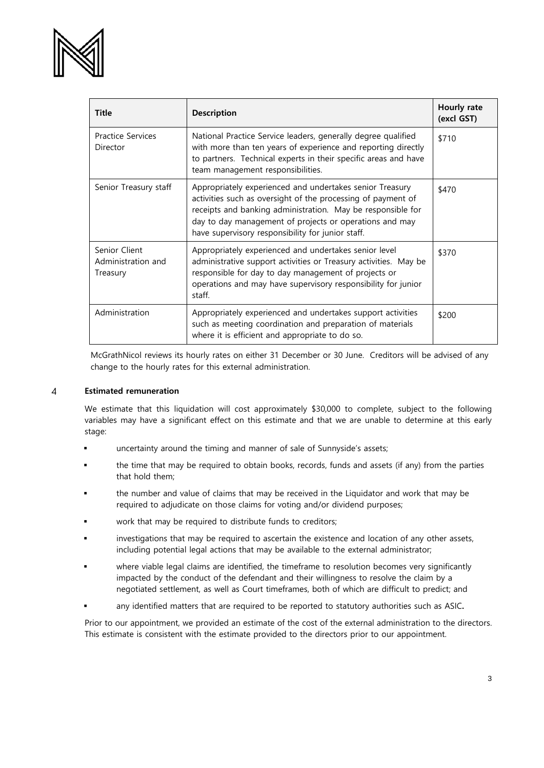

| <b>Title</b>                                    | <b>Description</b>                                                                                                                                                                                                                                                                                      | Hourly rate<br>(excl GST) |
|-------------------------------------------------|---------------------------------------------------------------------------------------------------------------------------------------------------------------------------------------------------------------------------------------------------------------------------------------------------------|---------------------------|
| <b>Practice Services</b><br>Director            | National Practice Service leaders, generally degree qualified<br>with more than ten years of experience and reporting directly<br>to partners. Technical experts in their specific areas and have<br>team management responsibilities.                                                                  | \$710                     |
| Senior Treasury staff                           | Appropriately experienced and undertakes senior Treasury<br>activities such as oversight of the processing of payment of<br>receipts and banking administration. May be responsible for<br>day to day management of projects or operations and may<br>have supervisory responsibility for junior staff. | \$470                     |
| Senior Client<br>Administration and<br>Treasury | Appropriately experienced and undertakes senior level<br>administrative support activities or Treasury activities. May be<br>responsible for day to day management of projects or<br>operations and may have supervisory responsibility for junior<br>staff.                                            | \$370                     |
| Administration                                  | Appropriately experienced and undertakes support activities<br>such as meeting coordination and preparation of materials<br>where it is efficient and appropriate to do so.                                                                                                                             | \$200                     |

McGrathNicol reviews its hourly rates on either 31 December or 30 June. Creditors will be advised of any change to the hourly rates for this external administration.

#### **Estimated remuneration** 4

We estimate that this liquidation will cost approximately \$30,000 to complete, subject to the following variables may have a significant effect on this estimate and that we are unable to determine at this early stage:

- uncertainty around the timing and manner of sale of Sunnyside's assets;
- the time that may be required to obtain books, records, funds and assets (if any) from the parties that hold them;
- the number and value of claims that may be received in the Liquidator and work that may be required to adjudicate on those claims for voting and/or dividend purposes;
- work that may be required to distribute funds to creditors;
- investigations that may be required to ascertain the existence and location of any other assets, including potential legal actions that may be available to the external administrator;
- where viable legal claims are identified, the timeframe to resolution becomes very significantly impacted by the conduct of the defendant and their willingness to resolve the claim by a negotiated settlement, as well as Court timeframes, both of which are difficult to predict; and
- any identified matters that are required to be reported to statutory authorities such as ASIC**.**

Prior to our appointment, we provided an estimate of the cost of the external administration to the directors. This estimate is consistent with the estimate provided to the directors prior to our appointment.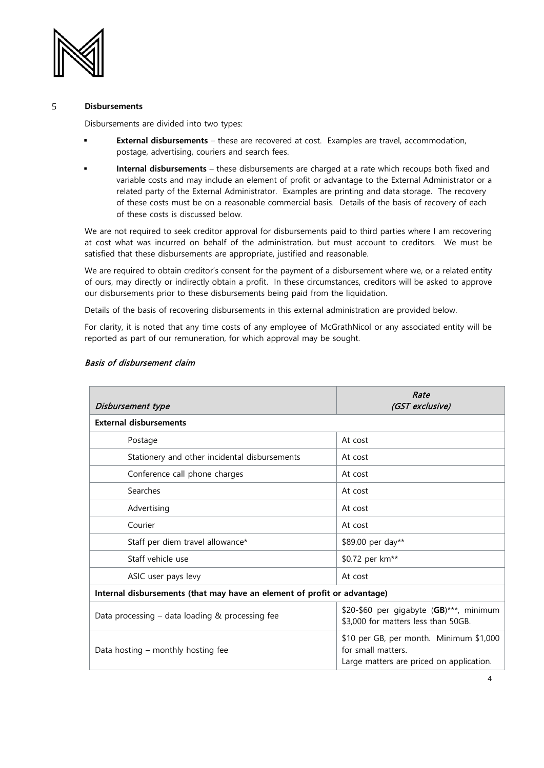

### 5 **Disbursements**

Disbursements are divided into two types:

- **External disbursements** these are recovered at cost. Examples are travel, accommodation, postage, advertising, couriers and search fees.
- **Internal disbursements** these disbursements are charged at a rate which recoups both fixed and variable costs and may include an element of profit or advantage to the External Administrator or a related party of the External Administrator. Examples are printing and data storage. The recovery of these costs must be on a reasonable commercial basis. Details of the basis of recovery of each of these costs is discussed below.

We are not required to seek creditor approval for disbursements paid to third parties where I am recovering at cost what was incurred on behalf of the administration, but must account to creditors. We must be satisfied that these disbursements are appropriate, justified and reasonable.

We are required to obtain creditor's consent for the payment of a disbursement where we, or a related entity of ours, may directly or indirectly obtain a profit. In these circumstances, creditors will be asked to approve our disbursements prior to these disbursements being paid from the liquidation.

Details of the basis of recovering disbursements in this external administration are provided below.

For clarity, it is noted that any time costs of any employee of McGrathNicol or any associated entity will be reported as part of our remuneration, for which approval may be sought.

| Disbursement type                                                        | Rate<br>(GST exclusive)                                                                                   |  |  |  |
|--------------------------------------------------------------------------|-----------------------------------------------------------------------------------------------------------|--|--|--|
| <b>External disbursements</b>                                            |                                                                                                           |  |  |  |
| Postage                                                                  | At cost                                                                                                   |  |  |  |
| Stationery and other incidental disbursements                            | At cost                                                                                                   |  |  |  |
| Conference call phone charges                                            | At cost                                                                                                   |  |  |  |
| Searches                                                                 | At cost                                                                                                   |  |  |  |
| Advertising                                                              | At cost                                                                                                   |  |  |  |
| Courier                                                                  | At cost                                                                                                   |  |  |  |
| Staff per diem travel allowance*                                         | \$89.00 per day**                                                                                         |  |  |  |
| Staff vehicle use                                                        | \$0.72 per km**                                                                                           |  |  |  |
| ASIC user pays levy                                                      | At cost                                                                                                   |  |  |  |
| Internal disbursements (that may have an element of profit or advantage) |                                                                                                           |  |  |  |
| Data processing - data loading & processing fee                          | \$20-\$60 per gigabyte (GB)***, minimum<br>\$3,000 for matters less than 50GB.                            |  |  |  |
| Data hosting – monthly hosting fee                                       | \$10 per GB, per month. Minimum \$1,000<br>for small matters.<br>Large matters are priced on application. |  |  |  |

# Basis of disbursement claim